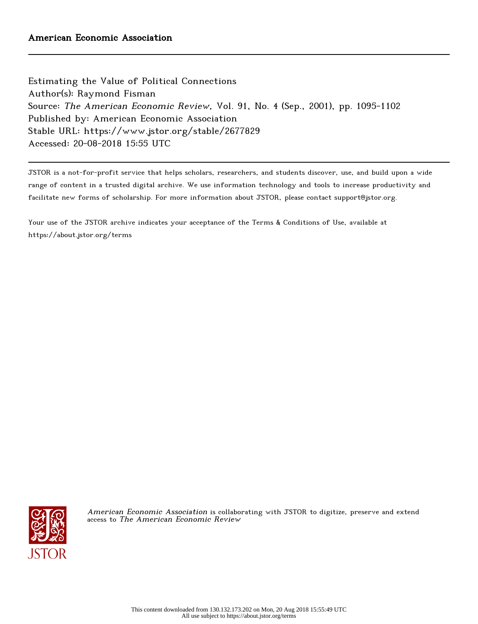Estimating the Value of Political Connections Author(s): Raymond Fisman Source: The American Economic Review, Vol. 91, No. 4 (Sep., 2001), pp. 1095-1102 Published by: American Economic Association Stable URL: https://www.jstor.org/stable/2677829 Accessed: 20-08-2018 15:55 UTC

JSTOR is a not-for-profit service that helps scholars, researchers, and students discover, use, and build upon a wide range of content in a trusted digital archive. We use information technology and tools to increase productivity and facilitate new forms of scholarship. For more information about JSTOR, please contact support@jstor.org.

Your use of the JSTOR archive indicates your acceptance of the Terms & Conditions of Use, available at https://about.jstor.org/terms



American Economic Association is collaborating with JSTOR to digitize, preserve and extend access to The American Economic Review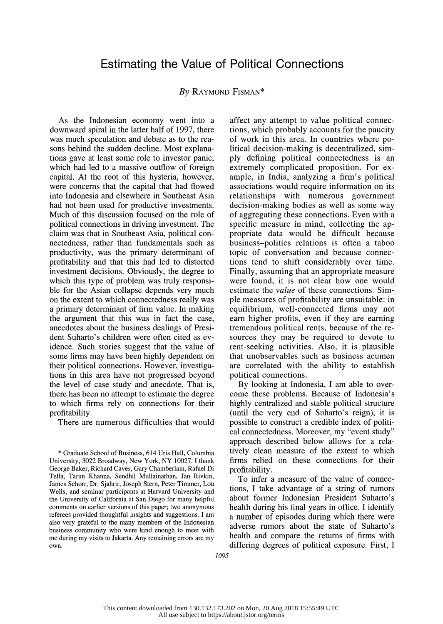# Estimating the Value of Political Connections

## By RAYMOND FISMAN\*

 As the Indonesian economy went into a downward spiral in the latter half of 1997, there was much speculation and debate as to the rea sons behind the sudden decline. Most explana tions gave at least some role to investor panic, which had led to a massive outflow of foreign capital. At the root of this hysteria, however, were concerns that the capital that had flowed into Indonesia and elsewhere in Southeast Asia had not been used for productive investments. Much of this discussion focused on the role of political connections in driving investment. The claim was that in Southeast Asia, political con nectedness, rather than fundamentals such as productivity, was the primary determinant of profitability and that this had led to distorted investment decisions. Obviously, the degree to which this type of problem was truly responsi ble for the Asian collapse depends very much on the extent to which connectedness really was a primary determinant of firm value. In making the argument that this was in fact the case, anecdotes about the business dealings of Presi dent Suharto's children were often cited as ev idence. Such stories suggest that the value of some firms may have been highly dependent on their political connections. However, investiga tions in this area have not progressed beyond the level of case study and anecdote. That is, there has been no attempt to estimate the degree to which firms rely on connections for their profitability.

There are numerous difficulties that would

 affect any attempt to value political connec tions, which probably accounts for the paucity of work in this area. In countries where po litical decision-making is decentralized, sim ply defining political connectedness is an extremely complicated proposition. For ex ample, in India, analyzing a firm's political associations would require information on its relationships with numerous government decision-making bodies as well as some way of aggregating these connections. Even with a specific measure in mind, collecting the ap propriate data would be difficult because business-politics relations is often a taboo topic of conversation and because connec tions tend to shift considerably over time. Finally, assuming that an appropriate measure were found, it is not clear how one would estimate the value of these connections. Sim ple measures of profitability are unsuitable: in equilibrium, well-connected firms may not earn higher profits, even if they are earning tremendous political rents, because of the re sources they may be required to devote to rent-seeking activities. Also, it is plausible that unobservables such as business acumen are correlated with the ability to establish political connections.

 By looking at Indonesia, I am able to over come these problems. Because of Indonesia's highly centralized and stable political structure (until the very end of Suharto's reign), it is possible to construct a credible index of politi cal connectedness. Moreover, my "event study" approach described below allows for a rela tively clean measure of the extent to which firms relied on these connections for their profitability.

 To infer a measure of the value of connec tions, I take advantage of a string of rumors about former Indonesian President Suharto's health during his final years in office. I identify a number of episodes during which there were adverse rumors about the state of Suharto's health and compare the returns of firms with differing degrees of political exposure. First, I

 <sup>\*</sup> Graduate School of Business, 614 Uris Hall, Columbia University, 3022 Broadway, New York, NY 10027. I thank George Baker, Richard Caves, Gary Chamberlain, Rafael Di Tella, Tarun Khanna, Sendhil Mullainathan, Jan Rivkin, James Schorr, Dr. Sjahrir, Joseph Stem, Peter Timmer, Lou Wells, and seminar participants at Harvard University and the University of California at San Diego for many helpful comments on earlier versions of this paper; two anonymous referees provided thoughtful insights and suggestions. I am also very grateful to the many members of the Indonesian business community who were kind enough to meet with me during my visits to Jakarta. Any remaining errors are my own.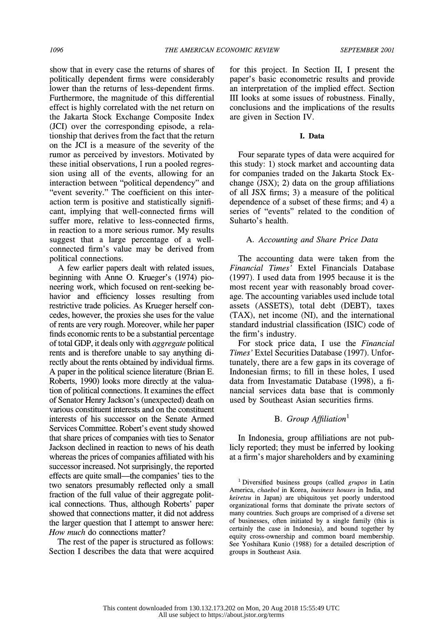show that in every case the returns of shares of politically dependent firms were considerably lower than the returns of less-dependent firms. Furthermore, the magnitude of this differential effect is highly correlated with the net return on the Jakarta Stock Exchange Composite Index (JCI) over the corresponding episode, a rela tionship that derives from the fact that the return on the JCI is a measure of the severity of the rumor as perceived by investors. Motivated by these initial observations, I run a pooled regres sion using all of the events, allowing for an interaction between "political dependency" and "event severity." The coefficient on this inter action term is positive and statistically signifi cant, implying that well-connected firms will suffer more, relative to less-connected firms, in reaction to a more serious rumor. My results suggest that a large percentage of a well connected firm's value may be derived from political connections.

 A few earlier papers dealt with related issues, beginning with Anne 0. Krueger's (1974) pio neering work, which focused on rent-seeking be havior and efficiency losses resulting from restrictive trade policies. As Krueger herself con cedes, however, the proxies she uses for the value of rents are very rough. Moreover, while her paper finds economic rents to be a substantial percentage of total GDP, it deals only with aggregate political rents and is therefore unable to say anything di rectly about the rents obtained by individual firms. A paper in the political science literature (Brian E. Roberts, 1990) looks more directly at the valua tion of political connections. It examines the effect of Senator Henry Jackson's (unexpected) death on various constituent interests and on the constituent interests of his successor on the Senate Armed Services Committee. Robert's event study showed that share prices of companies with ties to Senator Jackson declined in reaction to news of his death whereas the prices of companies affiliated with his successor increased. Not surprisingly, the reported effects are quite small—the companies' ties to the two senators presumably reflected only a small fraction of the full value of their aggregate polit ical connections. Thus, although Roberts' paper showed that connections matter, it did not address the larger question that I attempt to answer here: How much do connections matter?

 The rest of the paper is structured as follows: Section I describes the data that were acquired  for this project. In Section II, I present the paper's basic econometric results and provide an interpretation of the implied effect. Section III looks at some issues of robustness. Finally, conclusions and the implications of the results are given in Section IV.

## I. Data

 Four separate types of data were acquired for this study: 1) stock market and accounting data for companies traded on the Jakarta Stock Ex change  $(JSX)$ ; 2) data on the group affiliations of all JSX firms; 3) a measure of the political dependence of a subset of these firms; and 4) a series of "events" related to the condition of Suharto's health.

## A. Accounting and Share Price Data

 The accounting data were taken from the Financial Times' Extel Financials Database (1997). I used data from 1995 because it is the most recent year with reasonably broad cover age. The accounting variables used include total assets (ASSETS), total debt (DEBT), taxes (TAX), net income (NI), and the international standard industrial classification (ISIC) code of the firm's industry.

 For stock price data, I use the Financial Times' Extel Securities Database (1997). Unfor tunately, there are a few gaps in its coverage of Indonesian firms; to fill in these holes, I used data from Investamatic Database (1998), a fi nancial services data base that is commonly used by Southeast Asian securities firms.

## B. Group Affiliation<sup>1</sup>

 In Indonesia, group affiliations are not pub licly reported; they must be inferred by looking at a firm's major shareholders and by examining

<sup>&</sup>lt;sup>1</sup> Diversified business groups (called *grupos* in Latin America, chaebol in Korea, business houses in India, and keiretsu in Japan) are ubiquitous yet poorly understood organizational forms that dominate the private sectors of many countries. Such groups are comprised of a diverse set of businesses, often initiated by a single family (this is certainly the case in Indonesia), and bound together by equity cross-ownership and common board membership. See Yoshihara Kunio (1988) for a detailed description of groups in Southeast Asia.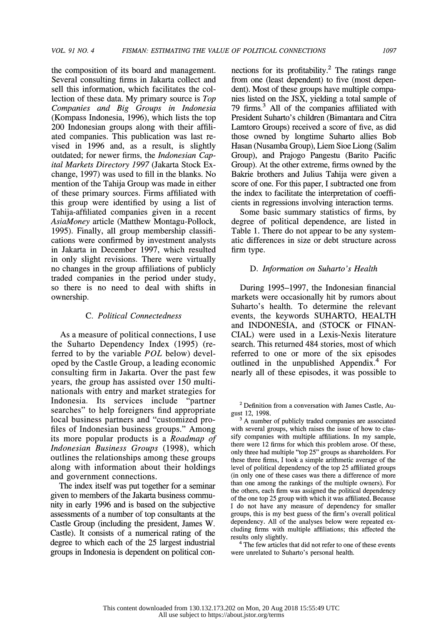the composition of its board and management. Several consulting firms in Jakarta collect and sell this information, which facilitates the col lection of these data. My primary source is Top Companies and Big Groups in Indonesia (Kompass Indonesia, 1996), which lists the top 200 Indonesian groups along with their affili ated companies. This publication was last re vised in 1996 and, as a result, is slightly outdated; for newer firms, the Indonesian Cap ital Markets Directory 1997 (Jakarta Stock Ex change, 1997) was used to fill in the blanks. No mention of the Tahija Group was made in either of these primary sources. Firms affiliated with this group were identified by using a list of Tahija-affiliated companies given in a recent AsiaMoney article (Matthew Montagu-Pollock, 1995). Finally, all group membership classifi cations were confirmed by investment analysts in Jakarta in December 1997, which resulted in only slight revisions. There were virtually no changes in the group affiliations of publicly traded companies in the period under study, so there is no need to deal with shifts in ownership.

## C. Political Connectedness

 As a measure of political connections, I use the Suharto Dependency Index (1995) (re ferred to by the variable POL below) devel oped by the Castle Group, a leading economic consulting firm in Jakarta. Over the past few years, the group has assisted over 150 multi nationals with entry and market strategies for Indonesia. Its services include "partner searches" to help foreigners find appropriate local business partners and "customized pro files of Indonesian business groups." Among its more popular products is a Roadmap of Indonesian Business Groups (1998), which outlines the relationships among these groups along with information about their holdings and government connections.

 The index itself was put together for a seminar given to members of the Jakarta business commu nity in early 1996 and is based on the subjective assessments of a number of top consultants at the Castle Group (including the president, James W. Castle). It consists of a numerical rating of the degree to which each of the 25 largest industrial groups in Indonesia is dependent on political connections for its profitability.<sup>2</sup> The ratings range from one (least dependent) to five (most depen dent). Most of these groups have multiple compa nies listed on the JSX, yielding a total sample of 79 firms.3 All of the companies affiliated with President Suharto's children (Bimantara and Citra Lamtoro Groups) received a score of five, as did those owned by longtime Suharto allies Bob Hasan (Nusamba Group), Liem Sioe Liong (Salim Group), and Prajogo Pangestu (Barito Pacific Group). At the other extreme, firms owned by the Bakrie brothers and Julius Tahija were given a score of one. For this paper, I subtracted one from the index to facilitate the interpretation of coeffi cients in regressions involving interaction terms.

 Some basic summary statistics of firms, by degree of political dependence, are listed in Table 1. There do not appear to be any system atic differences in size or debt structure across firm type.

## D. Information on Suharto's Health

 During 1995-1997, the Indonesian financial markets were occasionally hit by rumors about Suharto's health. To determine the relevant events, the keywords SUHARTO, HEALTH and INDONESIA, and (STOCK or FINAN- CIAL) were used in a Lexis-Nexis literature search. This returned 484 stories, most of which referred to one or more of the six episodes outlined in the unpublished Appendix.<sup>4</sup> For nearly all of these episodes, it was possible to

 2 Definition from a conversation with James Castle, Au gust 12, 1998.

A number of publicly traded companies are associated with several groups, which raises the issue of how to clas sify companies with multiple affiliations. In my sample, there were 12 firms for which this problem arose. Of these, only three had multiple "top 25" groups as shareholders. For these three firms, I took a simple arithmetic average of the level of political dependency of the top 25 affiliated groups (in only one of these cases was there a difference of more than one among the rankings of the multiple owners). For the others, each firm was assigned the political dependency of the one top 25 group with which it was affiliated. Because I do not have any measure of dependency for smaller groups, this is my best guess of the firm's overall political dependency. All of the analyses below were repeated ex cluding firms with multiple affiliations; this affected the results only slightly.

<sup>4</sup> The few articles that did not refer to one of these events were unrelated to Suharto's personal health.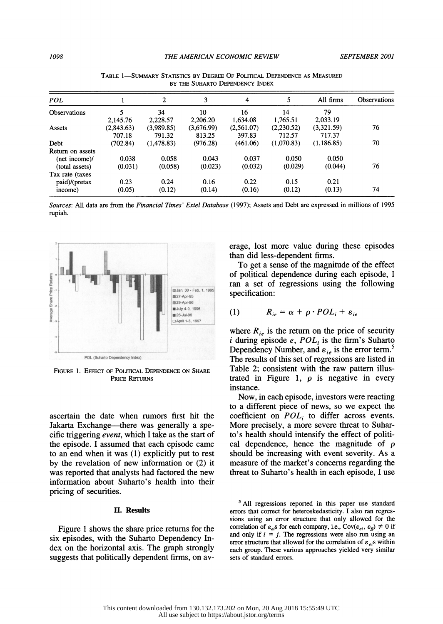| POL                 |            | 2           | 3          | 4          | 5          | All firms   | <b>Observations</b> |
|---------------------|------------|-------------|------------|------------|------------|-------------|---------------------|
| <b>Observations</b> | 5.         | 34          | 10         | 16         | 14         | 79          |                     |
|                     | 2,145.76   | 2,228.57    | 2,206.20   | 1,634.08   | 1,765.51   | 2,033.19    |                     |
| Assets              | (2,843.63) | (3,989.85)  | (3,676.99) | (2,561.07) | (2,230.52) | (3,321.59)  | 76                  |
|                     | 707.18     | 791.32      | 813.25     | 397.83     | 712.57     | 717.37      |                     |
| Debt                | (702.84)   | (1, 478.83) | (976.28)   | (461.06)   | (1,070.83) | (1, 186.85) | 70                  |
| Return on assets    |            |             |            |            |            |             |                     |
| (net income)/       | 0.038      | 0.058       | 0.043      | 0.037      | 0.050      | 0.050       |                     |
| (total assets)      | (0.031)    | (0.058)     | (0.023)    | (0.032)    | (0.029)    | (0.044)     | 76                  |
| Tax rate (taxes     |            |             |            |            |            |             |                     |
| paid)/(pretax       | 0.23       | 0.24        | 0.16       | 0.22       | 0.15       | 0.21        |                     |
| income)             | (0.05)     | (0.12)      | (0.14)     | (0.16)     | (0.12)     | (0.13)      | 74                  |

TABLE 1-SUMMARY STATISTICS BY DEGREE OF POLITICAL DEPENDENCE AS MEASURED BY THE SUHARTO DEPENDENCY INDEX

Sources: All data are from the Financial Times' Extel Database (1997); Assets and Debt are expressed in millions of 1995 rupiah.



FIGURE 1. EFFECT OF POLITICAL DEPENDENCE ON SHARE PRICE RETURNS

 ascertain the date when rumors first hit the Jakarta Exchange—there was generally a spe cific triggering event, which I take as the start of the episode. I assumed that each episode came to an end when it was (1) explicitly put to rest by the revelation of new information or (2) it was reported that analysts had factored the new information about Suharto's health into their pricing of securities.

## II. Results

 Figure 1 shows the share price returns for the six episodes, with the Suharto Dependency In dex on the horizontal axis. The graph strongly suggests that politically dependent firms, on av erage, lost more value during these episodes than did less-dependent firms.

 To get a sense of the magnitude of the effect of political dependence during each episode, I ran a set of regressions using the following specification:

$$
(1) \hspace{1cm} R_{ie} = \alpha + \rho \cdot POL_i + \varepsilon_{ie}
$$

where  $R_{ie}$  is the return on the price of security i during episode  $e$ ,  $POL<sub>i</sub>$  is the firm's Suharto Dependency Number, and  $\varepsilon_{ie}$  is the error term.<sup>5</sup> The results of this set of regressions are listed in Table 2; consistent with the raw pattern illus trated in Figure 1,  $\rho$  is negative in every instance.

 Now, in each episode, investors were reacting to a different piece of news, so we expect the coefficient on  $POL<sub>i</sub>$  to differ across events. More precisely, a more severe threat to Suhar to's health should intensify the effect of politi cal dependence, hence the magnitude of  $\rho$  should be increasing with event severity. As a measure of the market's concerns regarding the threat to Suharto's health in each episode, I use

<sup>&</sup>lt;sup>5</sup> All regressions reported in this paper use standard errors that correct for heteroskedasticity. I also ran regres sions using an error structure that only allowed for the correlation of  $\varepsilon_{ei}$ s for each company, i.e., Cov( $\varepsilon_{ei}$ ,  $\varepsilon_{fi} \neq 0$  if and only if  $i = j$ . The regressions were also run using an error structure that allowed for the correlation of  $\varepsilon_a$ , s within each group. These various approaches yielded very similar sets of standard errors.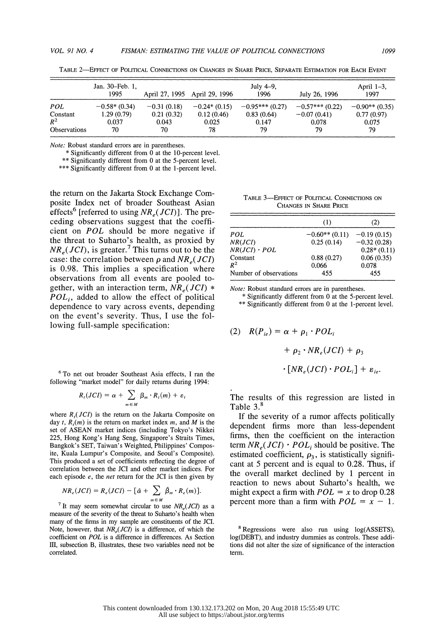|  | į |
|--|---|
|  |   |

|                     | Jan. 30–Feb. 1.<br>1995 |               | April 27, 1995 April 29, 1996 | July $4-9$ ,<br>1996 | July 26, 1996    | April $1-3$ ,<br>1997 |
|---------------------|-------------------------|---------------|-------------------------------|----------------------|------------------|-----------------------|
| POL                 | $-0.58*(0.34)$          | $-0.31(0.18)$ | $-0.24*(0.15)$                | $-0.95***(0.27)$     | $-0.57***(0.22)$ | $-0.90**$ (0.35)      |
| Constant            | 1.29(0.79)              | 0.21(0.32)    | 0.12(0.46)                    | 0.83(0.64)           | $-0.07(0.41)$    | 0.77(0.97)            |
| $R^2$               | 0.037                   | 0.043         | 0.025                         | 0.147                | 0.078            | 0.075                 |
| <b>Observations</b> | 70                      | 70            | 78                            | 79                   | 79               | 79                    |

TABLE 2-EFFECT OF POLITICAL CONNECTIONS ON CHANGES IN SHARE PRICE, SEPARATE ESTIMATION FOR EACH EVENT

Note: Robust standard errors are in parentheses.

\* Significantly different from  $\tilde{0}$  at the 10-percent level.

\*\* Significantly different from 0 at the 5-percent level.

\*\*\* Significantly different from 0 at the 1-percent level.

 the return on the Jakarta Stock Exchange Com posite Index net of broader Southeast Asian effects<sup>6</sup> [referred to using NR<sub>e</sub>( $JCI$ )]. The pre ceding observations suggest that the coeffi cient on POL should be more negative if the threat to Suharto's health, as proxied by  $NR_e(JCI)$ , is greater.<sup>7</sup> This turns out to be the case: the correlation between  $\rho$  and NR ( JCI) is 0.98. This implies a specification where observations from all events are pooled to gether, with an interaction term,  $NR_e(JCI)$  \* POL<sub>i</sub>, added to allow the effect of political dependence to vary across events, depending on the event's severity. Thus, I use the fol lowing full-sample specification:

 6 To net out broader Southeast Asia effects, I ran the following "market model" for daily returns during 1994:

$$
R_t(JCI) = \alpha + \sum_{m \in M} \beta_m \cdot R_t(m) + \varepsilon_t
$$

where  $R_i(JCI)$  is the return on the Jakarta Composite on day t,  $R_{\nu}(m)$  is the return on market index m, and M is the set of ASEAN market indices (including Tokyo's Nikkei 225, Hong Kong's Hang Seng, Singapore's Straits Times, Bangkok's SET, Taiwan's Weighted, Philippines' Compos ite, Kuala Lumpur's Composite, and Seoul's Composite). This produced a set of coefficients reflecting the degree of correlation between the JCI and other market indices. For each episode  $e$ , the *net* return for the JCI is then given by

$$
NR_e(JCI) = R_e(JCI) - [\hat{\alpha} + \sum_{m \in M} \hat{\beta}_m \cdot R_e(m)].
$$

<sup>7</sup> It may seem somewhat circular to use  $NR_{e}(JCI)$  as a measure of the severity of the threat to Suharto's health when many of the firms in my sample are constituents of the JCI. Note, however, that  $NR_e(JCI)$  is a difference, of which the coefficient on POL is a difference in differences. As Section III, subsection B, illustrates, these two variables need not be correlated.

 TABLE 3-EFFECT OF POLITICAL CONNECTIONS ON CHANGES IN SHARE PRICE

|                        | (1)              | 2)            |
|------------------------|------------------|---------------|
| POL.                   | $-0.60**$ (0.11) | $-0.19(0.15)$ |
| NR(JCI)                | 0.25(0.14)       | $-0.32(0.28)$ |
| $NR(JCI)\cdot POL$     |                  | $0.28*(0.11)$ |
| Constant               | 0.88(0.27)       | 0.06(0.35)    |
| $R^2$                  | 0.066            | 0.078         |
| Number of observations | 455              | 455           |
|                        |                  |               |

Note: Robust standard errors are in parentheses.

\* Significantly different from 0 at the 5-percent level.

\*\* Significantly different from 0 at the 1-percent level.

(2) 
$$
R(P_{ie}) = \alpha + \rho_1 \cdot POL_i
$$

$$
+ \rho_2 \cdot NR_e(JCI) + \rho_3
$$

$$
\cdot [NR_e(JCI) \cdot POL_i] + \varepsilon_{ie}.
$$

 The results of this regression are listed in Table 3.<sup>8</sup>

 If the severity of a rumor affects politically dependent firms more than less-dependent firms, then the coefficient on the interaction term  $NR_e(JCI) \cdot POL_i$  should be positive. The estimated coefficient,  $\rho_3$ , is statistically signifi cant at 5 percent and is equal to 0.28. Thus, if the overall market declined by 1 percent in reaction to news about Suharto's health, we might expect a firm with  $POL = x$  to drop 0.28 percent more than a firm with  $POL = x - 1$ .

 <sup>8</sup> Regressions were also run using log(ASSETS), log(DEBT), and industry dummies as controls. These addi tions did not alter the size of significance of the interaction term.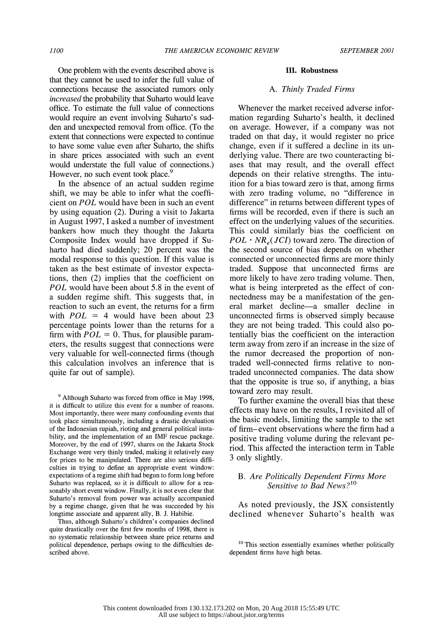One problem with the events described above is that they cannot be used to infer the full value of connections because the associated rumors only increased the probability that Suharto would leave office. To estimate the fill value of connections would require an event involving Suharto's sud den and unexpected removal from office. (To the extent that connections were expected to continue to have some value even after Suharto, the shifts in share prices associated with such an event would understate the full value of connections.) However, no such event took place.<sup>9</sup>

 In the absence of an actual sudden regime shift, we may be able to infer what the coeffi cient on POL would have been in such an event by using equation (2). During a visit to Jakarta in August 1997, I asked a number of investment bankers how much they thought the Jakarta Composite Index would have dropped if Su harto had died suddenly; 20 percent was the modal response to this question. If this value is taken as the best estimate of investor expecta tions, then (2) implies that the coefficient on POL would have been about 5.8 in the event of a sudden regime shift. This suggests that, in reaction to such an event, the returns for a firm with  $POL = 4$  would have been about 23 percentage points lower than the retums for a firm with  $POL = 0$ . Thus, for plausible param eters, the results suggest that connections were very valuable for well-connected firms (though this calculation involves an inference that is quite far out of sample).

 9 Although Suharto was forced from office in May 1998, it is difficult to utilize this event for a number of reasons. Most importantly, there were many confounding events that took place simultaneously, including a drastic devaluation of the Indonesian rupiah, rioting and general political insta bility, and the implementation of an IMF rescue package. Moreover, by the end of 1997, shares on the Jakarta Stock Exchange were very thinly traded, making it relatively easy for prices to be manipulated. There are also serious diffi culties in trying to define an appropriate event window: expectations of a regime shift had begun to form long before Suharto was replaced, so it is difficult to allow for a rea sonably short event window. Finally, it is not even clear that Suharto's removal from power was actually accompanied by a regime change, given that he was succeeded by his longtime associate and apparent ally, B. J. Habibie.

 Thus, although Suharto's children's companies declined quite drastically over the first few months of 1998, there is no systematic relationship between share price returns and political dependence, perhaps owing to the difficulties de scribed above.

#### III. Robustness

## A. Thinly Traded Firms

 Whenever the market received adverse infor mation regarding Suharto's health, it declined on average. However, if a company was not traded on that day, it would register no price change, even if it suffered a decline in its un derlying value. There are two counteracting bi ases that may result, and the overall effect depends on their relative strengths. The intu ition for a bias toward zero is that, among firms with zero trading volume, no "difference in difference" in returns between different types of firms will be recorded, even if there is such an effect on the underlying values of the securities. This could similarly bias the coefficient on  $POL \cdot NR_{e}(JCI)$  toward zero. The direction of the second source of bias depends on whether connected or unconnected firms are more thinly traded. Suppose that unconnected firms are more likely to have zero trading volume. Then, what is being interpreted as the effect of con nectedness may be a manifestation of the gen eral market decline-a smaller decline in unconnected firms is observed simply because they are not being traded. This could also po tentially bias the coefficient on the interaction term away from zero if an increase in the size of the rumor decreased the proportion of non traded well-connected firms relative to non traded unconnected companies. The data show that the opposite is true so, if anything, a bias toward zero may result.

 To further examine the overall bias that these effects may have on the results, I revisited all of the basic models, limiting the sample to the set of firm- event observations where the firm had a positive trading volume during the relevant pe riod. This affected the interaction term in Table 3 only slightly.

# B. Are Politically Dependent Firms More Sensitive to Bad News?<sup>10</sup>

 As noted previously, the JSX consistently declined whenever Suharto's health was

<sup>&</sup>lt;sup>10</sup> This section essentially examines whether politically dependent firms have high betas.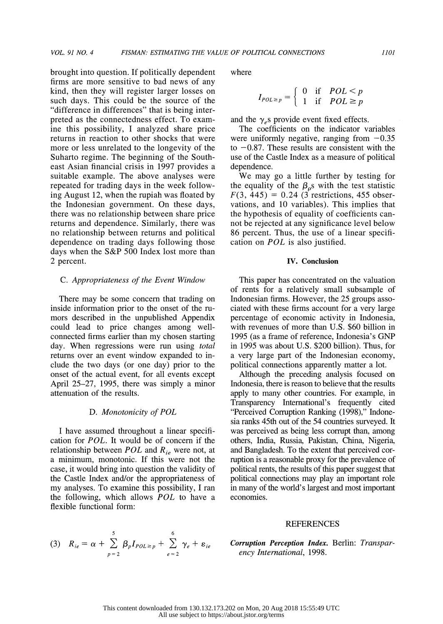brought into question. If politically dependent firms are more sensitive to bad news of any kind, then they will register larger losses on such days. This could be the source of the "difference in differences" that is being inter preted as the connectedness effect. To exam ine this possibility, I analyzed share price returns in reaction to other shocks that were more or less unrelated to the longevity of the Suharto regime. The beginning of the South east Asian financial crisis in 1997 provides a suitable example. The above analyses were repeated for trading days in the week follow ing August 12, when the rupiah was floated by the Indonesian government. On these days, there was no relationship between share price returns and dependence. Similarly, there was no relationship between returns and political dependence on trading days following those days when the S&P 500 Index lost more than 2 percent.

#### C. Appropriateness of the Event Window

 There may be some concern that trading on inside information prior to the onset of the ru mors described in the unpublished Appendix could lead to price changes among well connected firms earlier than my chosen starting day. When regressions were run using total returns over an event window expanded to in clude the two days (or one day) prior to the onset of the actual event, for all events except April 25-27, 1995, there was simply a minor attenuation of the results.

#### D. Monotonicity of POL

 I have assumed throughout a linear specifi cation for POL. It would be of concern if the relationship between *POL* and  $R_{ie}$  were not, at a minimum, monotonic. If this were not the case, it would bring into question the validity of the Castle Index and/or the appropriateness of my analyses. To examine this possibility, I ran the following, which allows POL to have a flexible functional form:

where

$$
I_{POL \ge p} = \left\{ \begin{array}{ll} 0 & \text{if} \quad POL < p \\ 1 & \text{if} \quad POL \ge p \end{array} \right.
$$

and the  $\gamma$ <sub>s</sub> provide event fixed effects.

 The coefficients on the indicator variables were uniformly negative, ranging from  $-0.35$ to  $-0.87$ . These results are consistent with the use of the Castle Index as a measure of political dependence.

 We may go a little further by testing for the equality of the  $\beta_{p}$ s with the test statistic  $F(3, 445) = 0.24$  (3 restrictions, 455 obser vations, and 10 variables). This implies that the hypothesis of equality of coefficients can not be rejected at any significance level below 86 percent. Thus, the use of a linear specifi cation on  $POL$  is also justified.

#### IV. Conclusion

 This paper has concentrated on the valuation of rents for a relatively small subsample of Indonesian firms. However, the 25 groups asso ciated with these firms account for a very large percentage of economic activity in Indonesia, with revenues of more than U.S. \$60 billion in 1995 (as a frame of reference, Indonesia's GNP in 1995 was about U.S. \$200 billion). Thus, for a very large part of the Indonesian economy, political connections apparently matter a lot.

 Although the preceding analysis focused on Indonesia, there is reason to believe that the results apply to many other countries. For example, in Transparency International's frequently cited "Perceived Corruption Ranking (1998)," Indone sia ranks 45th out of the 54 countries surveyed. It was perceived as being less corrupt than, among others, India, Russia, Pakistan, China, Nigeria, and Bangladesh. To the extent that perceived cor ruption is a reasonable proxy for the prevalence of political rents, the results of this paper suggest that political connections may play an important role in many of the world's largest and most important economies.

#### REFERENCES

the following, which allows *POL* to have a economics.  
\nflexible functional form:  
\n
$$
R_{ie} = \alpha + \sum_{p=2}^{5} \beta_p I_{POL \ge p} + \sum_{e=2}^{6} \gamma_e + \varepsilon_{ie}
$$
\nCorruption Perception Index. Berlin: *Transportion Program Program Program Program Program Program Program Program Program Program Program Program Program Program Program Program Program Program Program Program Program Program Program Program Program Program Program Program Program Program Program Program Program Program Program Program Program Form Form Form Form Form Form Form Form Form Form Form Form Form Form Form Form Form Form Form Form Form Form Form Term Form Form Form Form Form Form Form Form Form Term Form Form Form Form Form Form Form Form Form Term Form Term Form Term Term Term Term Term Term Term Term Term Term* 

 Corruption Perception Index. Berlin: Transpar ency International, 1998.